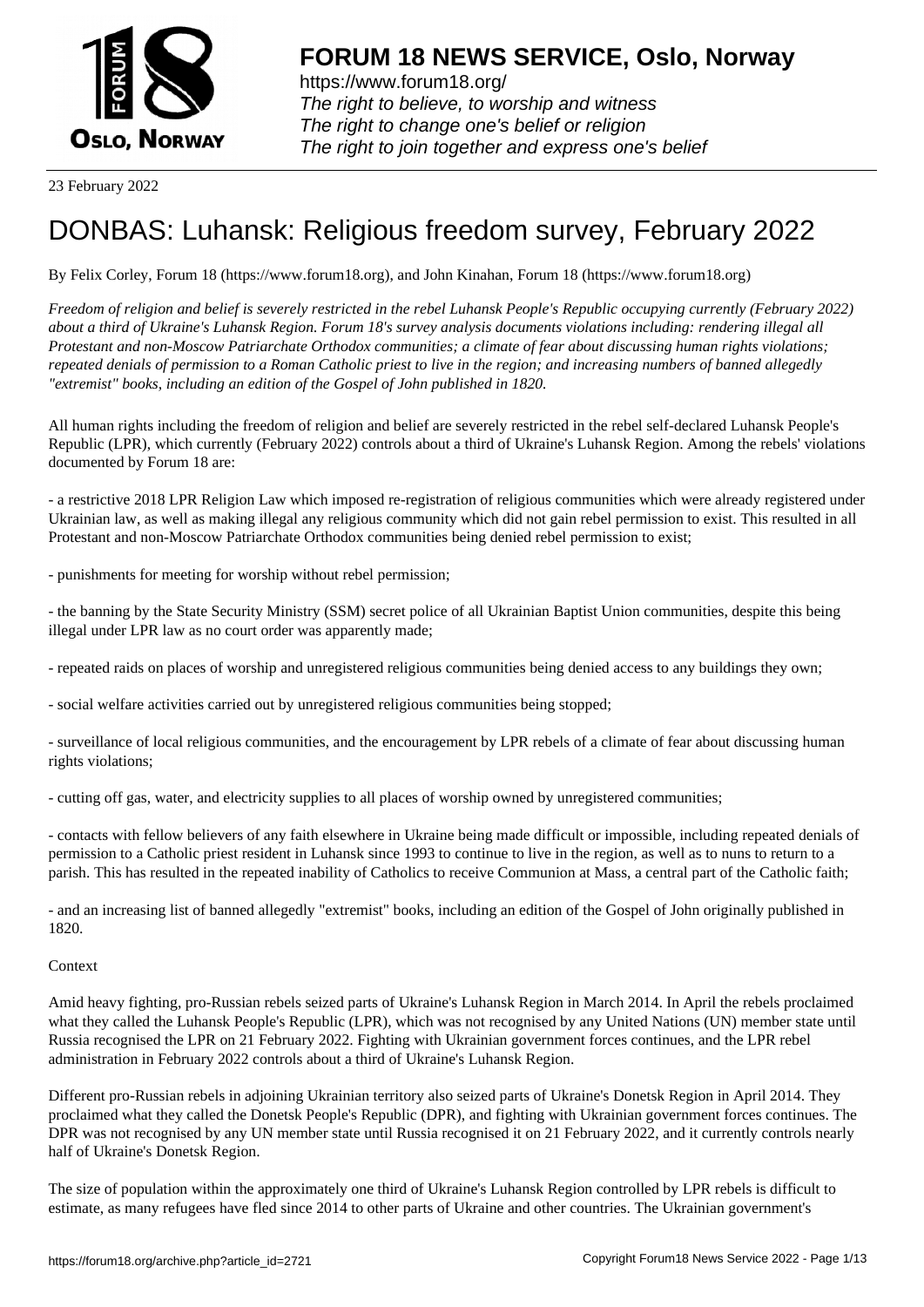

23 February 2022

# [DONBAS: Luha](https://www.forum18.org)nsk: Religious freedom survey, February 2022

By Felix Corley, Forum 18 (https://www.forum18.org), and John Kinahan, Forum 18 (https://www.forum18.org)

*Freedom of religion and belief is severely restricted in the rebel Luhansk People's Republic occupying currently (February 2022) about a third of Ukraine's Luhansk Region. Forum 18's survey analysis documents violations including: rendering illegal all Protestant and non-Moscow Patriarchate Orthodox communities; a climate of fear about discussing human rights violations; repeated denials of permission to a Roman Catholic priest to live in the region; and increasing numbers of banned allegedly "extremist" books, including an edition of the Gospel of John published in 1820.*

All human rights including the freedom of religion and belief are severely restricted in the rebel self-declared Luhansk People's Republic (LPR), which currently (February 2022) controls about a third of Ukraine's Luhansk Region. Among the rebels' violations documented by Forum 18 are:

- a restrictive 2018 LPR Religion Law which imposed re-registration of religious communities which were already registered under Ukrainian law, as well as making illegal any religious community which did not gain rebel permission to exist. This resulted in all Protestant and non-Moscow Patriarchate Orthodox communities being denied rebel permission to exist;

- punishments for meeting for worship without rebel permission;

- the banning by the State Security Ministry (SSM) secret police of all Ukrainian Baptist Union communities, despite this being illegal under LPR law as no court order was apparently made;

- repeated raids on places of worship and unregistered religious communities being denied access to any buildings they own;

- social welfare activities carried out by unregistered religious communities being stopped;

- surveillance of local religious communities, and the encouragement by LPR rebels of a climate of fear about discussing human rights violations;

- cutting off gas, water, and electricity supplies to all places of worship owned by unregistered communities;

- contacts with fellow believers of any faith elsewhere in Ukraine being made difficult or impossible, including repeated denials of permission to a Catholic priest resident in Luhansk since 1993 to continue to live in the region, as well as to nuns to return to a parish. This has resulted in the repeated inability of Catholics to receive Communion at Mass, a central part of the Catholic faith;

- and an increasing list of banned allegedly "extremist" books, including an edition of the Gospel of John originally published in 1820.

## **Context**

Amid heavy fighting, pro-Russian rebels seized parts of Ukraine's Luhansk Region in March 2014. In April the rebels proclaimed what they called the Luhansk People's Republic (LPR), which was not recognised by any United Nations (UN) member state until Russia recognised the LPR on 21 February 2022. Fighting with Ukrainian government forces continues, and the LPR rebel administration in February 2022 controls about a third of Ukraine's Luhansk Region.

Different pro-Russian rebels in adjoining Ukrainian territory also seized parts of Ukraine's Donetsk Region in April 2014. They proclaimed what they called the Donetsk People's Republic (DPR), and fighting with Ukrainian government forces continues. The DPR was not recognised by any UN member state until Russia recognised it on 21 February 2022, and it currently controls nearly half of Ukraine's Donetsk Region.

The size of population within the approximately one third of Ukraine's Luhansk Region controlled by LPR rebels is difficult to estimate, as many refugees have fled since 2014 to other parts of Ukraine and other countries. The Ukrainian government's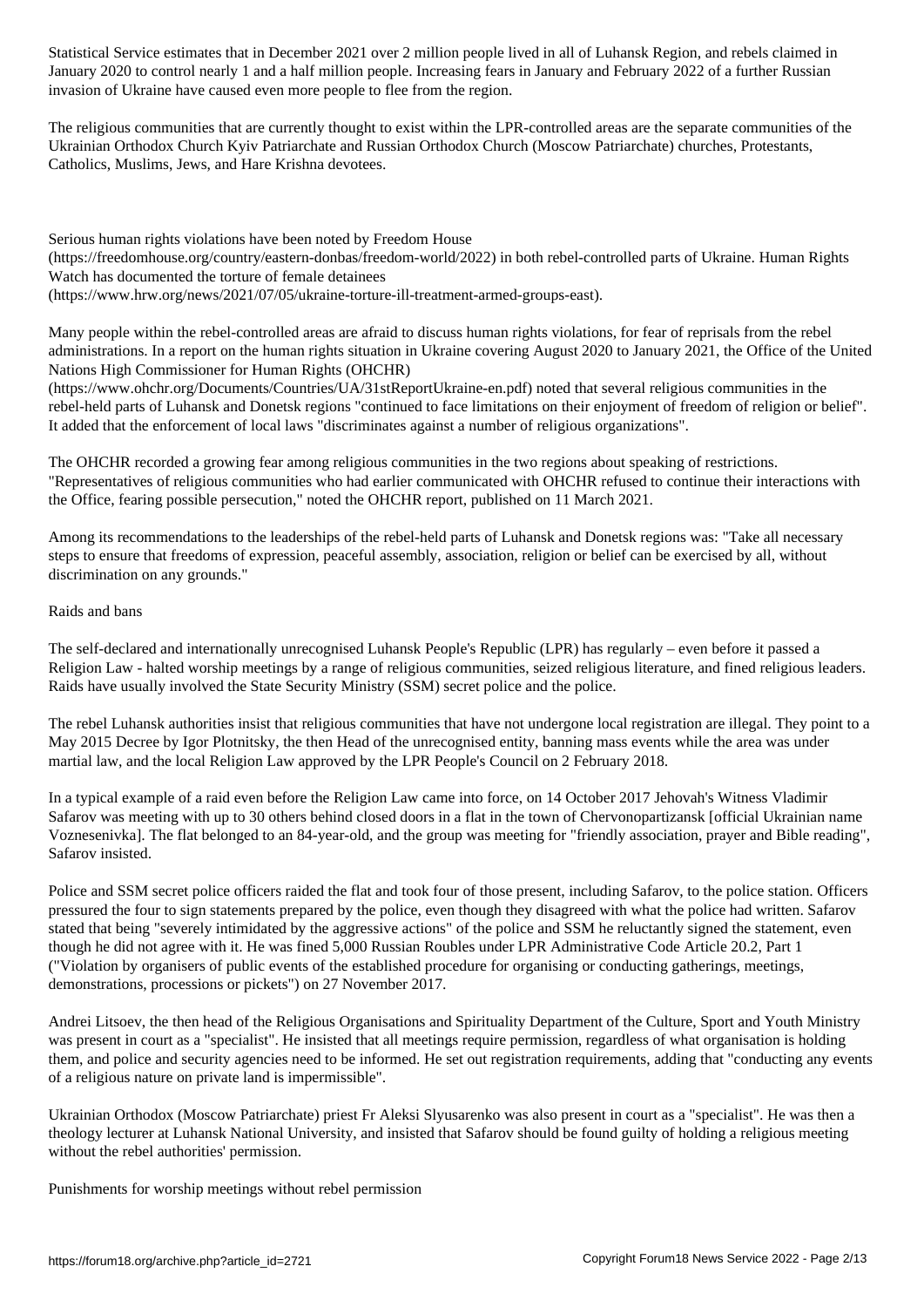January 2020 to control nearly 1 and a half million people. Increasing fears in January and February 2022 of a further Russian invasion of Ukraine have caused even more people to flee from the region.

The religious communities that are currently thought to exist within the LPR-controlled areas are the separate communities of the Ukrainian Orthodox Church Kyiv Patriarchate and Russian Orthodox Church (Moscow Patriarchate) churches, Protestants, Catholics, Muslims, Jews, and Hare Krishna devotees.

Serious human rights violations have been noted by Freedom House (https://freedomhouse.org/country/eastern-donbas/freedom-world/2022) in both rebel-controlled parts of Ukraine. Human Rights Watch has documented the torture of female detainees (https://www.hrw.org/news/2021/07/05/ukraine-torture-ill-treatment-armed-groups-east).

Many people within the rebel-controlled areas are afraid to discuss human rights violations, for fear of reprisals from the rebel administrations. In a report on the human rights situation in Ukraine covering August 2020 to January 2021, the Office of the United Nations High Commissioner for Human Rights (OHCHR)

(https://www.ohchr.org/Documents/Countries/UA/31stReportUkraine-en.pdf) noted that several religious communities in the rebel-held parts of Luhansk and Donetsk regions "continued to face limitations on their enjoyment of freedom of religion or belief". It added that the enforcement of local laws "discriminates against a number of religious organizations".

The OHCHR recorded a growing fear among religious communities in the two regions about speaking of restrictions. "Representatives of religious communities who had earlier communicated with OHCHR refused to continue their interactions with the Office, fearing possible persecution," noted the OHCHR report, published on 11 March 2021.

Among its recommendations to the leaderships of the rebel-held parts of Luhansk and Donetsk regions was: "Take all necessary steps to ensure that freedoms of expression, peaceful assembly, association, religion or belief can be exercised by all, without discrimination on any grounds."

# Raids and bans

The self-declared and internationally unrecognised Luhansk People's Republic (LPR) has regularly – even before it passed a Religion Law - halted worship meetings by a range of religious communities, seized religious literature, and fined religious leaders. Raids have usually involved the State Security Ministry (SSM) secret police and the police.

The rebel Luhansk authorities insist that religious communities that have not undergone local registration are illegal. They point to a May 2015 Decree by Igor Plotnitsky, the then Head of the unrecognised entity, banning mass events while the area was under martial law, and the local Religion Law approved by the LPR People's Council on 2 February 2018.

In a typical example of a raid even before the Religion Law came into force, on 14 October 2017 Jehovah's Witness Vladimir Safarov was meeting with up to 30 others behind closed doors in a flat in the town of Chervonopartizansk [official Ukrainian name Voznesenivka]. The flat belonged to an 84-year-old, and the group was meeting for "friendly association, prayer and Bible reading", Safarov insisted.

Police and SSM secret police officers raided the flat and took four of those present, including Safarov, to the police station. Officers pressured the four to sign statements prepared by the police, even though they disagreed with what the police had written. Safarov stated that being "severely intimidated by the aggressive actions" of the police and SSM he reluctantly signed the statement, even though he did not agree with it. He was fined 5,000 Russian Roubles under LPR Administrative Code Article 20.2, Part 1 ("Violation by organisers of public events of the established procedure for organising or conducting gatherings, meetings, demonstrations, processions or pickets") on 27 November 2017.

Andrei Litsoev, the then head of the Religious Organisations and Spirituality Department of the Culture, Sport and Youth Ministry was present in court as a "specialist". He insisted that all meetings require permission, regardless of what organisation is holding them, and police and security agencies need to be informed. He set out registration requirements, adding that "conducting any events of a religious nature on private land is impermissible".

Ukrainian Orthodox (Moscow Patriarchate) priest Fr Aleksi Slyusarenko was also present in court as a "specialist". He was then a theology lecturer at Luhansk National University, and insisted that Safarov should be found guilty of holding a religious meeting without the rebel authorities' permission.

Punishments for worship meetings without rebel permission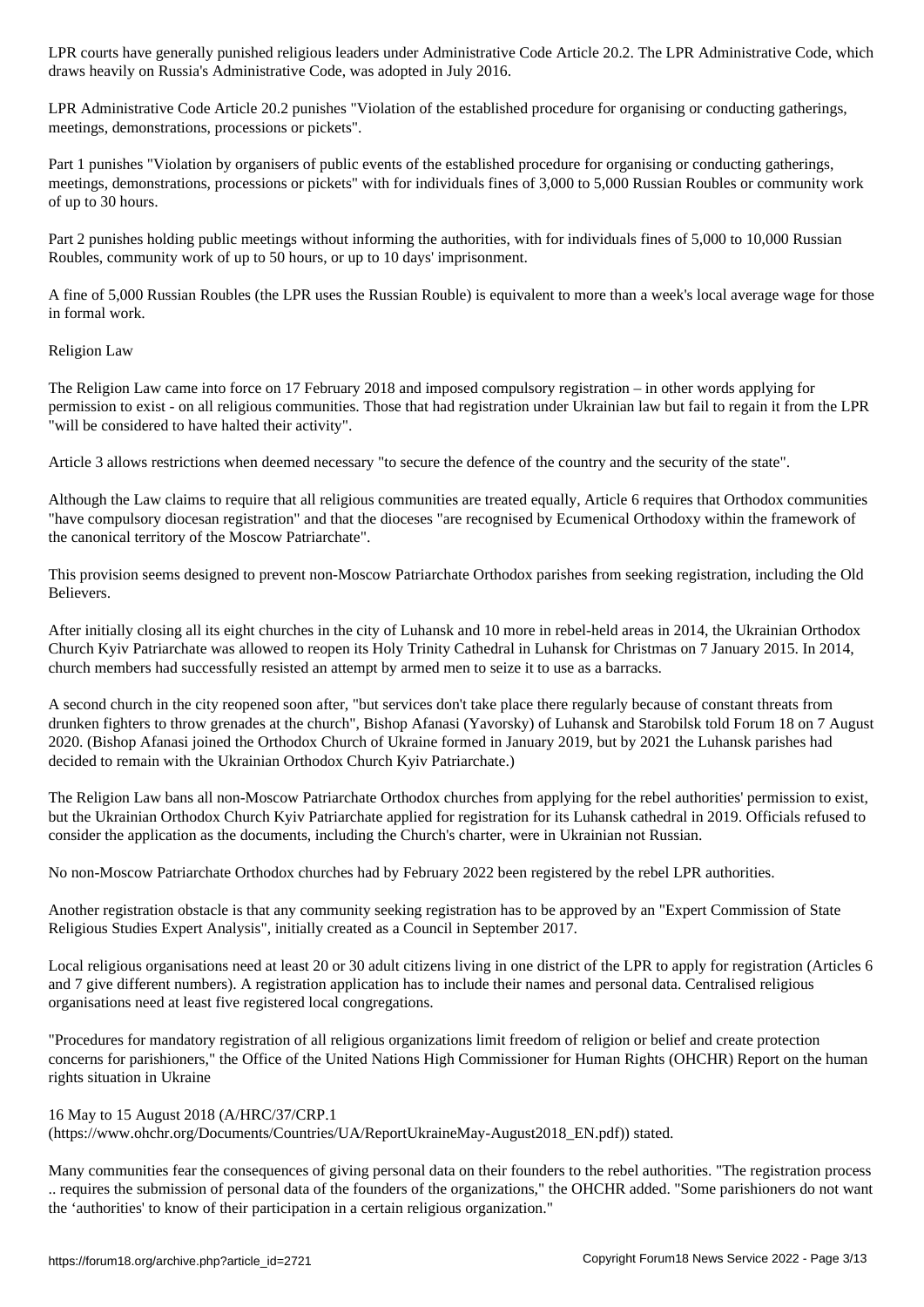draws heavily on Russia's Administrative Code, was adopted in July 2016.

LPR Administrative Code Article 20.2 punishes "Violation of the established procedure for organising or conducting gatherings, meetings, demonstrations, processions or pickets".

Part 1 punishes "Violation by organisers of public events of the established procedure for organising or conducting gatherings, meetings, demonstrations, processions or pickets" with for individuals fines of 3,000 to 5,000 Russian Roubles or community work of up to 30 hours.

Part 2 punishes holding public meetings without informing the authorities, with for individuals fines of 5,000 to 10,000 Russian Roubles, community work of up to 50 hours, or up to 10 days' imprisonment.

A fine of 5,000 Russian Roubles (the LPR uses the Russian Rouble) is equivalent to more than a week's local average wage for those in formal work.

Religion Law

The Religion Law came into force on 17 February 2018 and imposed compulsory registration – in other words applying for permission to exist - on all religious communities. Those that had registration under Ukrainian law but fail to regain it from the LPR "will be considered to have halted their activity".

Article 3 allows restrictions when deemed necessary "to secure the defence of the country and the security of the state".

Although the Law claims to require that all religious communities are treated equally, Article 6 requires that Orthodox communities "have compulsory diocesan registration" and that the dioceses "are recognised by Ecumenical Orthodoxy within the framework of the canonical territory of the Moscow Patriarchate".

This provision seems designed to prevent non-Moscow Patriarchate Orthodox parishes from seeking registration, including the Old Believers.

After initially closing all its eight churches in the city of Luhansk and 10 more in rebel-held areas in 2014, the Ukrainian Orthodox Church Kyiv Patriarchate was allowed to reopen its Holy Trinity Cathedral in Luhansk for Christmas on 7 January 2015. In 2014, church members had successfully resisted an attempt by armed men to seize it to use as a barracks.

A second church in the city reopened soon after, "but services don't take place there regularly because of constant threats from drunken fighters to throw grenades at the church", Bishop Afanasi (Yavorsky) of Luhansk and Starobilsk told Forum 18 on 7 August 2020. (Bishop Afanasi joined the Orthodox Church of Ukraine formed in January 2019, but by 2021 the Luhansk parishes had decided to remain with the Ukrainian Orthodox Church Kyiv Patriarchate.)

The Religion Law bans all non-Moscow Patriarchate Orthodox churches from applying for the rebel authorities' permission to exist, but the Ukrainian Orthodox Church Kyiv Patriarchate applied for registration for its Luhansk cathedral in 2019. Officials refused to consider the application as the documents, including the Church's charter, were in Ukrainian not Russian.

No non-Moscow Patriarchate Orthodox churches had by February 2022 been registered by the rebel LPR authorities.

Another registration obstacle is that any community seeking registration has to be approved by an "Expert Commission of State Religious Studies Expert Analysis", initially created as a Council in September 2017.

Local religious organisations need at least 20 or 30 adult citizens living in one district of the LPR to apply for registration (Articles 6 and 7 give different numbers). A registration application has to include their names and personal data. Centralised religious organisations need at least five registered local congregations.

"Procedures for mandatory registration of all religious organizations limit freedom of religion or belief and create protection concerns for parishioners," the Office of the United Nations High Commissioner for Human Rights (OHCHR) Report on the human rights situation in Ukraine

### 16 May to 15 August 2018 (A/HRC/37/CRP.1

(https://www.ohchr.org/Documents/Countries/UA/ReportUkraineMay-August2018\_EN.pdf)) stated.

Many communities fear the consequences of giving personal data on their founders to the rebel authorities. "The registration process .. requires the submission of personal data of the founders of the organizations," the OHCHR added. "Some parishioners do not want the 'authorities' to know of their participation in a certain religious organization."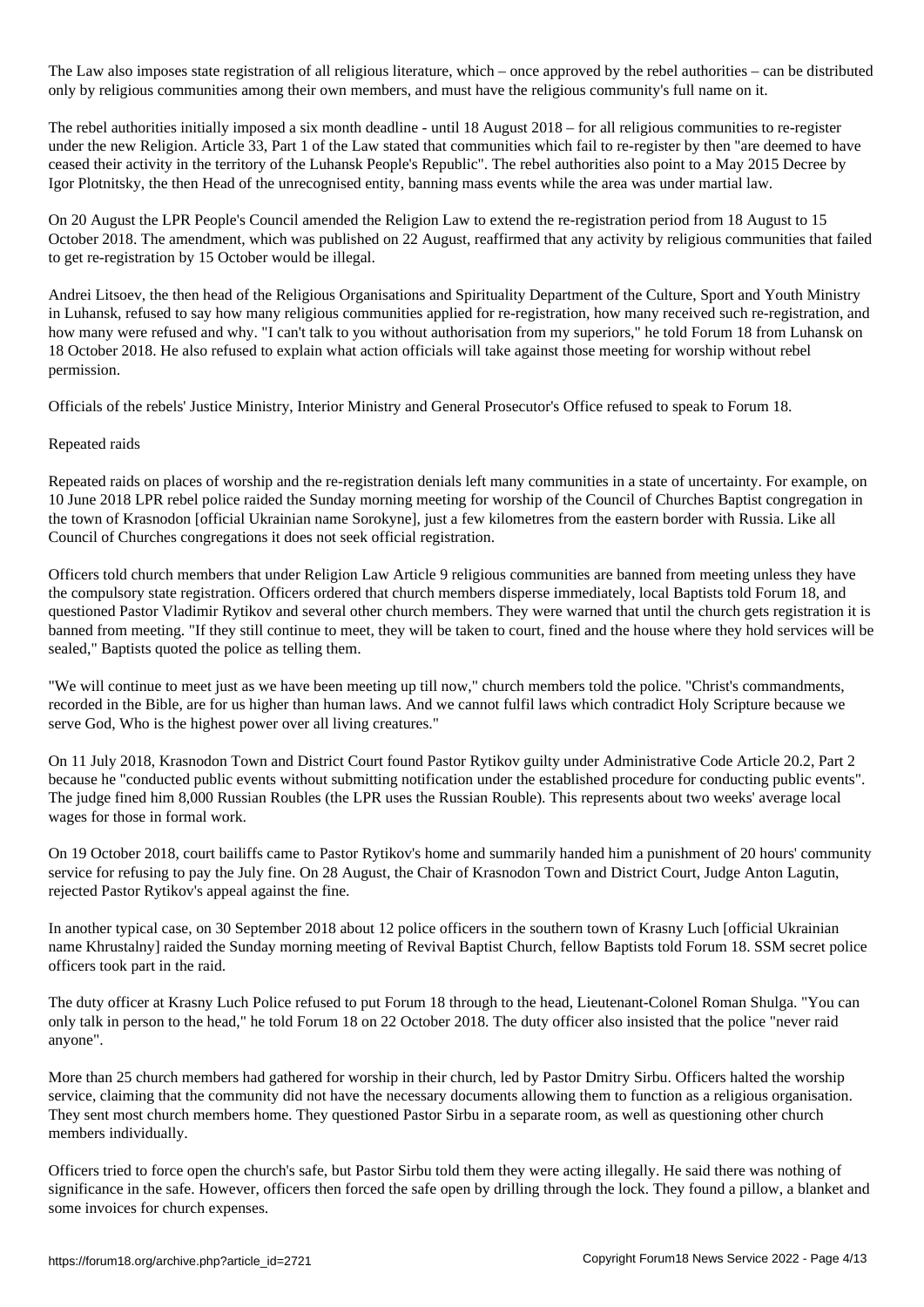The Law also imposes state registration of all religious literature, which – once approximately  $\mu$ only by religious communities among their own members, and must have the religious community's full name on it.

The rebel authorities initially imposed a six month deadline - until 18 August 2018 – for all religious communities to re-register under the new Religion. Article 33, Part 1 of the Law stated that communities which fail to re-register by then "are deemed to have ceased their activity in the territory of the Luhansk People's Republic". The rebel authorities also point to a May 2015 Decree by Igor Plotnitsky, the then Head of the unrecognised entity, banning mass events while the area was under martial law.

On 20 August the LPR People's Council amended the Religion Law to extend the re-registration period from 18 August to 15 October 2018. The amendment, which was published on 22 August, reaffirmed that any activity by religious communities that failed to get re-registration by 15 October would be illegal.

Andrei Litsoev, the then head of the Religious Organisations and Spirituality Department of the Culture, Sport and Youth Ministry in Luhansk, refused to say how many religious communities applied for re-registration, how many received such re-registration, and how many were refused and why. "I can't talk to you without authorisation from my superiors," he told Forum 18 from Luhansk on 18 October 2018. He also refused to explain what action officials will take against those meeting for worship without rebel permission.

Officials of the rebels' Justice Ministry, Interior Ministry and General Prosecutor's Office refused to speak to Forum 18.

## Repeated raids

Repeated raids on places of worship and the re-registration denials left many communities in a state of uncertainty. For example, on 10 June 2018 LPR rebel police raided the Sunday morning meeting for worship of the Council of Churches Baptist congregation in the town of Krasnodon [official Ukrainian name Sorokyne], just a few kilometres from the eastern border with Russia. Like all Council of Churches congregations it does not seek official registration.

Officers told church members that under Religion Law Article 9 religious communities are banned from meeting unless they have the compulsory state registration. Officers ordered that church members disperse immediately, local Baptists told Forum 18, and questioned Pastor Vladimir Rytikov and several other church members. They were warned that until the church gets registration it is banned from meeting. "If they still continue to meet, they will be taken to court, fined and the house where they hold services will be sealed," Baptists quoted the police as telling them.

"We will continue to meet just as we have been meeting up till now," church members told the police. "Christ's commandments, recorded in the Bible, are for us higher than human laws. And we cannot fulfil laws which contradict Holy Scripture because we serve God, Who is the highest power over all living creatures."

On 11 July 2018, Krasnodon Town and District Court found Pastor Rytikov guilty under Administrative Code Article 20.2, Part 2 because he "conducted public events without submitting notification under the established procedure for conducting public events". The judge fined him 8,000 Russian Roubles (the LPR uses the Russian Rouble). This represents about two weeks' average local wages for those in formal work.

On 19 October 2018, court bailiffs came to Pastor Rytikov's home and summarily handed him a punishment of 20 hours' community service for refusing to pay the July fine. On 28 August, the Chair of Krasnodon Town and District Court, Judge Anton Lagutin, rejected Pastor Rytikov's appeal against the fine.

In another typical case, on 30 September 2018 about 12 police officers in the southern town of Krasny Luch [official Ukrainian name Khrustalny] raided the Sunday morning meeting of Revival Baptist Church, fellow Baptists told Forum 18. SSM secret police officers took part in the raid.

The duty officer at Krasny Luch Police refused to put Forum 18 through to the head, Lieutenant-Colonel Roman Shulga. "You can only talk in person to the head," he told Forum 18 on 22 October 2018. The duty officer also insisted that the police "never raid anyone".

More than 25 church members had gathered for worship in their church, led by Pastor Dmitry Sirbu. Officers halted the worship service, claiming that the community did not have the necessary documents allowing them to function as a religious organisation. They sent most church members home. They questioned Pastor Sirbu in a separate room, as well as questioning other church members individually.

Officers tried to force open the church's safe, but Pastor Sirbu told them they were acting illegally. He said there was nothing of significance in the safe. However, officers then forced the safe open by drilling through the lock. They found a pillow, a blanket and some invoices for church expenses.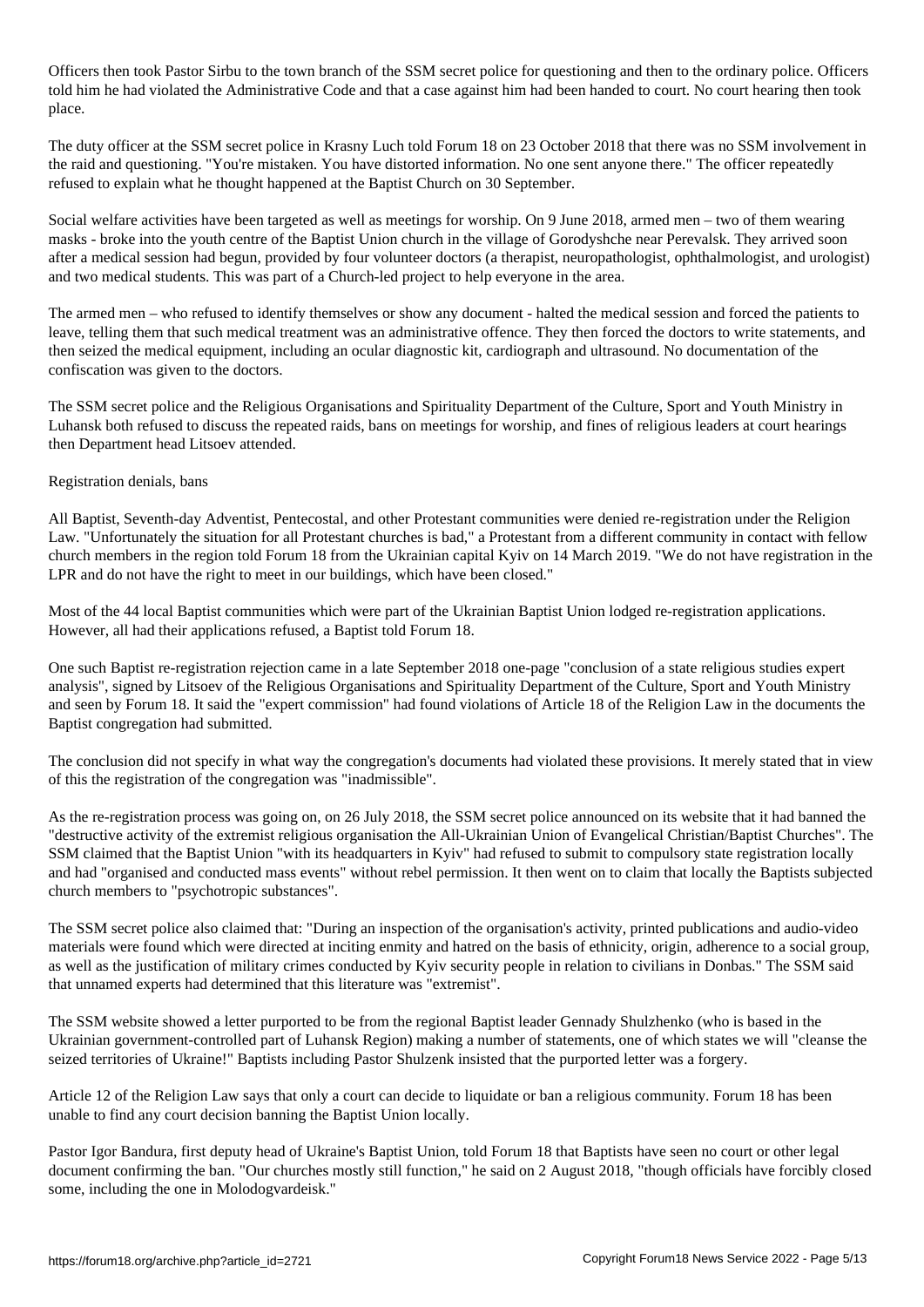Officers then took Pastor Sirbu to the town branch of the SSM secret police for questioning and then to the ordinary police. Officers told him he had violated the Administrative Code and that a case against him had been handed to court. No court hearing then took place.

The duty officer at the SSM secret police in Krasny Luch told Forum 18 on 23 October 2018 that there was no SSM involvement in the raid and questioning. "You're mistaken. You have distorted information. No one sent anyone there." The officer repeatedly refused to explain what he thought happened at the Baptist Church on 30 September.

Social welfare activities have been targeted as well as meetings for worship. On 9 June 2018, armed men – two of them wearing masks - broke into the youth centre of the Baptist Union church in the village of Gorodyshche near Perevalsk. They arrived soon after a medical session had begun, provided by four volunteer doctors (a therapist, neuropathologist, ophthalmologist, and urologist) and two medical students. This was part of a Church-led project to help everyone in the area.

The armed men – who refused to identify themselves or show any document - halted the medical session and forced the patients to leave, telling them that such medical treatment was an administrative offence. They then forced the doctors to write statements, and then seized the medical equipment, including an ocular diagnostic kit, cardiograph and ultrasound. No documentation of the confiscation was given to the doctors.

The SSM secret police and the Religious Organisations and Spirituality Department of the Culture, Sport and Youth Ministry in Luhansk both refused to discuss the repeated raids, bans on meetings for worship, and fines of religious leaders at court hearings then Department head Litsoev attended.

## Registration denials, bans

All Baptist, Seventh-day Adventist, Pentecostal, and other Protestant communities were denied re-registration under the Religion Law. "Unfortunately the situation for all Protestant churches is bad," a Protestant from a different community in contact with fellow church members in the region told Forum 18 from the Ukrainian capital Kyiv on 14 March 2019. "We do not have registration in the LPR and do not have the right to meet in our buildings, which have been closed."

Most of the 44 local Baptist communities which were part of the Ukrainian Baptist Union lodged re-registration applications. However, all had their applications refused, a Baptist told Forum 18.

One such Baptist re-registration rejection came in a late September 2018 one-page "conclusion of a state religious studies expert analysis", signed by Litsoev of the Religious Organisations and Spirituality Department of the Culture, Sport and Youth Ministry and seen by Forum 18. It said the "expert commission" had found violations of Article 18 of the Religion Law in the documents the Baptist congregation had submitted.

The conclusion did not specify in what way the congregation's documents had violated these provisions. It merely stated that in view of this the registration of the congregation was "inadmissible".

As the re-registration process was going on, on 26 July 2018, the SSM secret police announced on its website that it had banned the "destructive activity of the extremist religious organisation the All-Ukrainian Union of Evangelical Christian/Baptist Churches". The SSM claimed that the Baptist Union "with its headquarters in Kyiv" had refused to submit to compulsory state registration locally and had "organised and conducted mass events" without rebel permission. It then went on to claim that locally the Baptists subjected church members to "psychotropic substances".

The SSM secret police also claimed that: "During an inspection of the organisation's activity, printed publications and audio-video materials were found which were directed at inciting enmity and hatred on the basis of ethnicity, origin, adherence to a social group, as well as the justification of military crimes conducted by Kyiv security people in relation to civilians in Donbas." The SSM said that unnamed experts had determined that this literature was "extremist".

The SSM website showed a letter purported to be from the regional Baptist leader Gennady Shulzhenko (who is based in the Ukrainian government-controlled part of Luhansk Region) making a number of statements, one of which states we will "cleanse the seized territories of Ukraine!" Baptists including Pastor Shulzenk insisted that the purported letter was a forgery.

Article 12 of the Religion Law says that only a court can decide to liquidate or ban a religious community. Forum 18 has been unable to find any court decision banning the Baptist Union locally.

Pastor Igor Bandura, first deputy head of Ukraine's Baptist Union, told Forum 18 that Baptists have seen no court or other legal document confirming the ban. "Our churches mostly still function," he said on 2 August 2018, "though officials have forcibly closed some, including the one in Molodogvardeisk."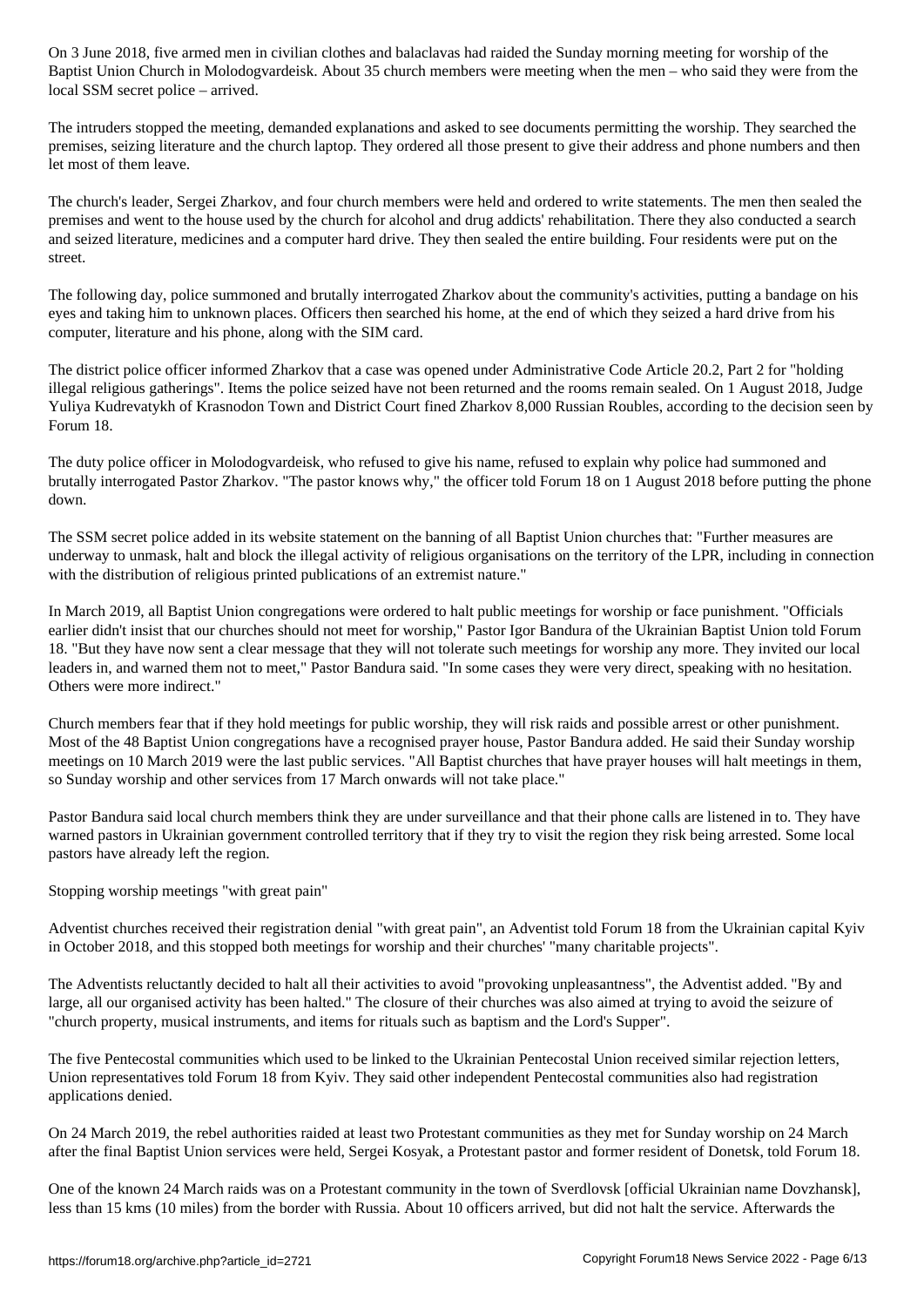Baptist Union Church in Molodogvardeisk. About 35 church members were meeting when the men – who said they were from the local SSM secret police – arrived.

The intruders stopped the meeting, demanded explanations and asked to see documents permitting the worship. They searched the premises, seizing literature and the church laptop. They ordered all those present to give their address and phone numbers and then let most of them leave.

The church's leader, Sergei Zharkov, and four church members were held and ordered to write statements. The men then sealed the premises and went to the house used by the church for alcohol and drug addicts' rehabilitation. There they also conducted a search and seized literature, medicines and a computer hard drive. They then sealed the entire building. Four residents were put on the street.

The following day, police summoned and brutally interrogated Zharkov about the community's activities, putting a bandage on his eyes and taking him to unknown places. Officers then searched his home, at the end of which they seized a hard drive from his computer, literature and his phone, along with the SIM card.

The district police officer informed Zharkov that a case was opened under Administrative Code Article 20.2, Part 2 for "holding illegal religious gatherings". Items the police seized have not been returned and the rooms remain sealed. On 1 August 2018, Judge Yuliya Kudrevatykh of Krasnodon Town and District Court fined Zharkov 8,000 Russian Roubles, according to the decision seen by Forum 18.

The duty police officer in Molodogvardeisk, who refused to give his name, refused to explain why police had summoned and brutally interrogated Pastor Zharkov. "The pastor knows why," the officer told Forum 18 on 1 August 2018 before putting the phone down.

The SSM secret police added in its website statement on the banning of all Baptist Union churches that: "Further measures are underway to unmask, halt and block the illegal activity of religious organisations on the territory of the LPR, including in connection with the distribution of religious printed publications of an extremist nature."

In March 2019, all Baptist Union congregations were ordered to halt public meetings for worship or face punishment. "Officials earlier didn't insist that our churches should not meet for worship," Pastor Igor Bandura of the Ukrainian Baptist Union told Forum 18. "But they have now sent a clear message that they will not tolerate such meetings for worship any more. They invited our local leaders in, and warned them not to meet," Pastor Bandura said. "In some cases they were very direct, speaking with no hesitation. Others were more indirect."

Church members fear that if they hold meetings for public worship, they will risk raids and possible arrest or other punishment. Most of the 48 Baptist Union congregations have a recognised prayer house, Pastor Bandura added. He said their Sunday worship meetings on 10 March 2019 were the last public services. "All Baptist churches that have prayer houses will halt meetings in them, so Sunday worship and other services from 17 March onwards will not take place."

Pastor Bandura said local church members think they are under surveillance and that their phone calls are listened in to. They have warned pastors in Ukrainian government controlled territory that if they try to visit the region they risk being arrested. Some local pastors have already left the region.

Stopping worship meetings "with great pain"

Adventist churches received their registration denial "with great pain", an Adventist told Forum 18 from the Ukrainian capital Kyiv in October 2018, and this stopped both meetings for worship and their churches' "many charitable projects".

The Adventists reluctantly decided to halt all their activities to avoid "provoking unpleasantness", the Adventist added. "By and large, all our organised activity has been halted." The closure of their churches was also aimed at trying to avoid the seizure of "church property, musical instruments, and items for rituals such as baptism and the Lord's Supper".

The five Pentecostal communities which used to be linked to the Ukrainian Pentecostal Union received similar rejection letters, Union representatives told Forum 18 from Kyiv. They said other independent Pentecostal communities also had registration applications denied.

On 24 March 2019, the rebel authorities raided at least two Protestant communities as they met for Sunday worship on 24 March after the final Baptist Union services were held, Sergei Kosyak, a Protestant pastor and former resident of Donetsk, told Forum 18.

One of the known 24 March raids was on a Protestant community in the town of Sverdlovsk [official Ukrainian name Dovzhansk], less than 15 kms (10 miles) from the border with Russia. About 10 officers arrived, but did not halt the service. Afterwards the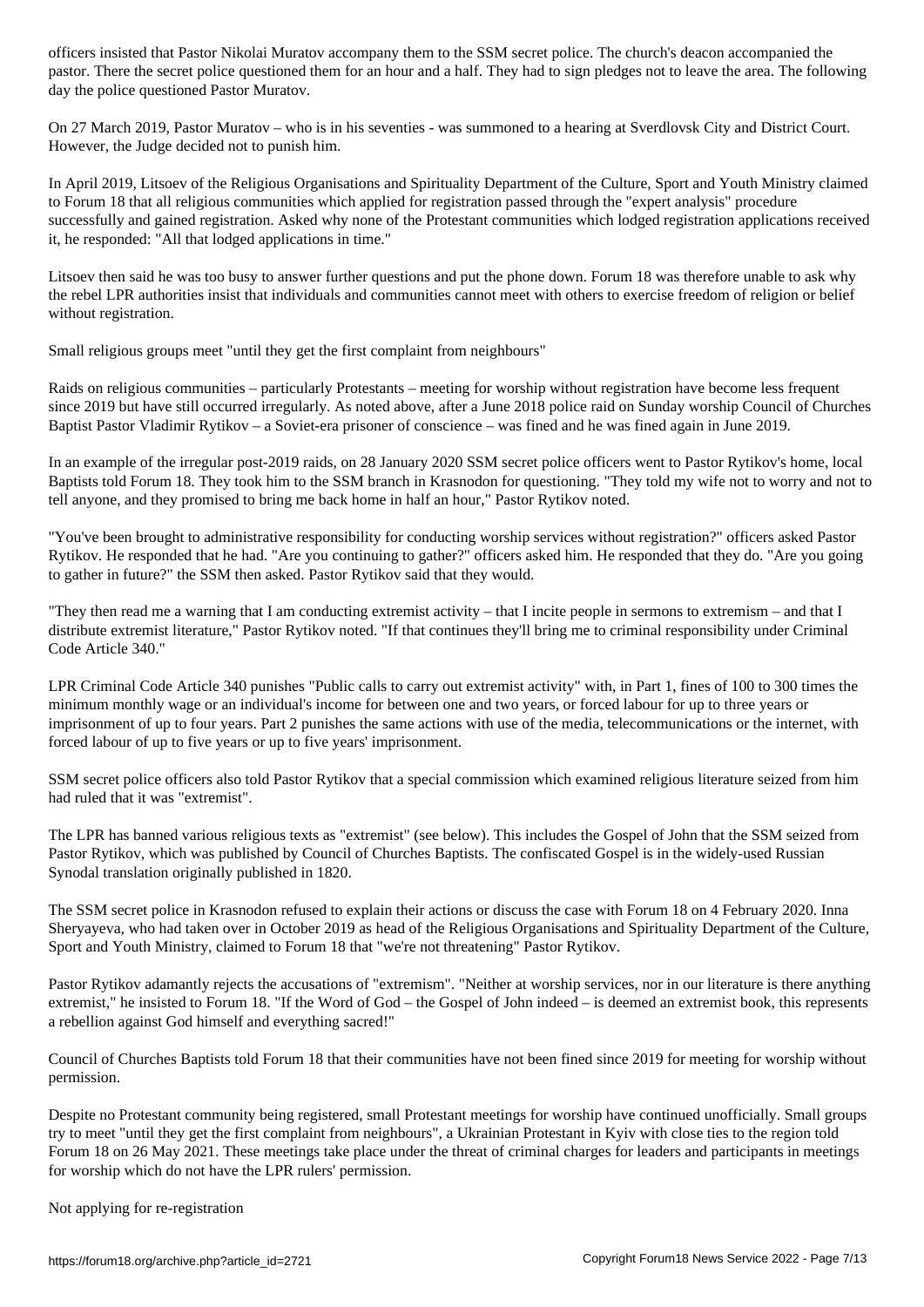pastor. There the secret police questioned them for an hour and a half. They had to sign pledges not to leave the area. The following day the police questioned Pastor Muratov.

On 27 March 2019, Pastor Muratov – who is in his seventies - was summoned to a hearing at Sverdlovsk City and District Court. However, the Judge decided not to punish him.

In April 2019, Litsoev of the Religious Organisations and Spirituality Department of the Culture, Sport and Youth Ministry claimed to Forum 18 that all religious communities which applied for registration passed through the "expert analysis" procedure successfully and gained registration. Asked why none of the Protestant communities which lodged registration applications received it, he responded: "All that lodged applications in time."

Litsoev then said he was too busy to answer further questions and put the phone down. Forum 18 was therefore unable to ask why the rebel LPR authorities insist that individuals and communities cannot meet with others to exercise freedom of religion or belief without registration.

Small religious groups meet "until they get the first complaint from neighbours"

Raids on religious communities – particularly Protestants – meeting for worship without registration have become less frequent since 2019 but have still occurred irregularly. As noted above, after a June 2018 police raid on Sunday worship Council of Churches Baptist Pastor Vladimir Rytikov – a Soviet-era prisoner of conscience – was fined and he was fined again in June 2019.

In an example of the irregular post-2019 raids, on 28 January 2020 SSM secret police officers went to Pastor Rytikov's home, local Baptists told Forum 18. They took him to the SSM branch in Krasnodon for questioning. "They told my wife not to worry and not to tell anyone, and they promised to bring me back home in half an hour," Pastor Rytikov noted.

"You've been brought to administrative responsibility for conducting worship services without registration?" officers asked Pastor Rytikov. He responded that he had. "Are you continuing to gather?" officers asked him. He responded that they do. "Are you going to gather in future?" the SSM then asked. Pastor Rytikov said that they would.

"They then read me a warning that I am conducting extremist activity – that I incite people in sermons to extremism – and that I distribute extremist literature," Pastor Rytikov noted. "If that continues they'll bring me to criminal responsibility under Criminal Code Article 340."

LPR Criminal Code Article 340 punishes "Public calls to carry out extremist activity" with, in Part 1, fines of 100 to 300 times the minimum monthly wage or an individual's income for between one and two years, or forced labour for up to three years or imprisonment of up to four years. Part 2 punishes the same actions with use of the media, telecommunications or the internet, with forced labour of up to five years or up to five years' imprisonment.

SSM secret police officers also told Pastor Rytikov that a special commission which examined religious literature seized from him had ruled that it was "extremist".

The LPR has banned various religious texts as "extremist" (see below). This includes the Gospel of John that the SSM seized from Pastor Rytikov, which was published by Council of Churches Baptists. The confiscated Gospel is in the widely-used Russian Synodal translation originally published in 1820.

The SSM secret police in Krasnodon refused to explain their actions or discuss the case with Forum 18 on 4 February 2020. Inna Sheryayeva, who had taken over in October 2019 as head of the Religious Organisations and Spirituality Department of the Culture, Sport and Youth Ministry, claimed to Forum 18 that "we're not threatening" Pastor Rytikov.

Pastor Rytikov adamantly rejects the accusations of "extremism". "Neither at worship services, nor in our literature is there anything extremist," he insisted to Forum 18. "If the Word of God – the Gospel of John indeed – is deemed an extremist book, this represents a rebellion against God himself and everything sacred!"

Council of Churches Baptists told Forum 18 that their communities have not been fined since 2019 for meeting for worship without permission.

Despite no Protestant community being registered, small Protestant meetings for worship have continued unofficially. Small groups try to meet "until they get the first complaint from neighbours", a Ukrainian Protestant in Kyiv with close ties to the region told Forum 18 on 26 May 2021. These meetings take place under the threat of criminal charges for leaders and participants in meetings for worship which do not have the LPR rulers' permission.

Not applying for re-registration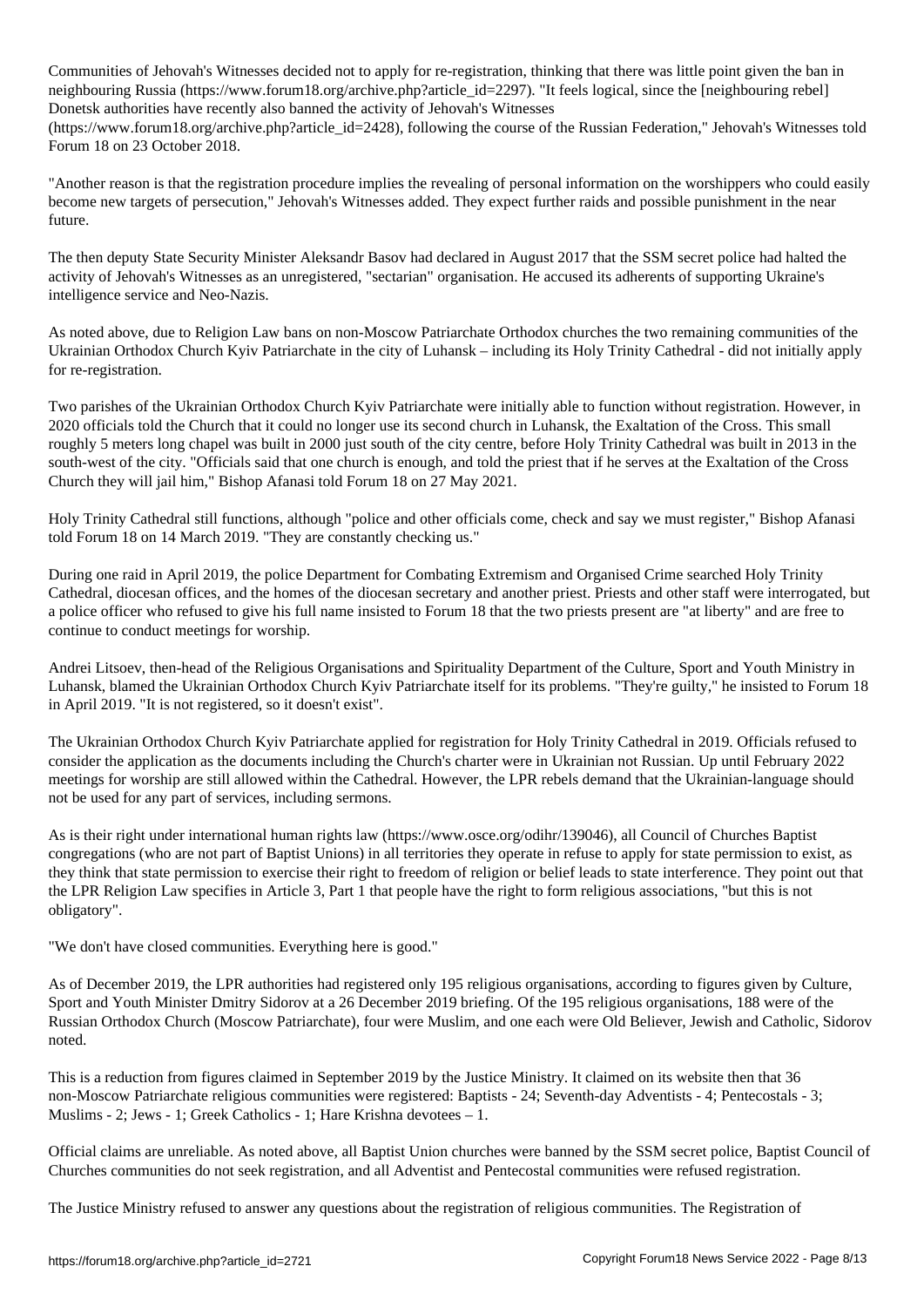Communities of Jehovah's Witnesses decided not to apply for re-registration, thinking that there was little point given the ban in neighbouring Russia (https://www.forum18.org/archive.php?article\_id=2297). "It feels logical, since the [neighbouring rebel] Donetsk authorities have recently also banned the activity of Jehovah's Witnesses

(https://www.forum18.org/archive.php?article\_id=2428), following the course of the Russian Federation," Jehovah's Witnesses told Forum 18 on 23 October 2018.

"Another reason is that the registration procedure implies the revealing of personal information on the worshippers who could easily become new targets of persecution," Jehovah's Witnesses added. They expect further raids and possible punishment in the near future.

The then deputy State Security Minister Aleksandr Basov had declared in August 2017 that the SSM secret police had halted the activity of Jehovah's Witnesses as an unregistered, "sectarian" organisation. He accused its adherents of supporting Ukraine's intelligence service and Neo-Nazis.

As noted above, due to Religion Law bans on non-Moscow Patriarchate Orthodox churches the two remaining communities of the Ukrainian Orthodox Church Kyiv Patriarchate in the city of Luhansk – including its Holy Trinity Cathedral - did not initially apply for re-registration.

Two parishes of the Ukrainian Orthodox Church Kyiv Patriarchate were initially able to function without registration. However, in 2020 officials told the Church that it could no longer use its second church in Luhansk, the Exaltation of the Cross. This small roughly 5 meters long chapel was built in 2000 just south of the city centre, before Holy Trinity Cathedral was built in 2013 in the south-west of the city. "Officials said that one church is enough, and told the priest that if he serves at the Exaltation of the Cross Church they will jail him," Bishop Afanasi told Forum 18 on 27 May 2021.

Holy Trinity Cathedral still functions, although "police and other officials come, check and say we must register," Bishop Afanasi told Forum 18 on 14 March 2019. "They are constantly checking us."

During one raid in April 2019, the police Department for Combating Extremism and Organised Crime searched Holy Trinity Cathedral, diocesan offices, and the homes of the diocesan secretary and another priest. Priests and other staff were interrogated, but a police officer who refused to give his full name insisted to Forum 18 that the two priests present are "at liberty" and are free to continue to conduct meetings for worship.

Andrei Litsoev, then-head of the Religious Organisations and Spirituality Department of the Culture, Sport and Youth Ministry in Luhansk, blamed the Ukrainian Orthodox Church Kyiv Patriarchate itself for its problems. "They're guilty," he insisted to Forum 18 in April 2019. "It is not registered, so it doesn't exist".

The Ukrainian Orthodox Church Kyiv Patriarchate applied for registration for Holy Trinity Cathedral in 2019. Officials refused to consider the application as the documents including the Church's charter were in Ukrainian not Russian. Up until February 2022 meetings for worship are still allowed within the Cathedral. However, the LPR rebels demand that the Ukrainian-language should not be used for any part of services, including sermons.

As is their right under international human rights law (https://www.osce.org/odihr/139046), all Council of Churches Baptist congregations (who are not part of Baptist Unions) in all territories they operate in refuse to apply for state permission to exist, as they think that state permission to exercise their right to freedom of religion or belief leads to state interference. They point out that the LPR Religion Law specifies in Article 3, Part 1 that people have the right to form religious associations, "but this is not obligatory".

"We don't have closed communities. Everything here is good."

As of December 2019, the LPR authorities had registered only 195 religious organisations, according to figures given by Culture, Sport and Youth Minister Dmitry Sidorov at a 26 December 2019 briefing. Of the 195 religious organisations, 188 were of the Russian Orthodox Church (Moscow Patriarchate), four were Muslim, and one each were Old Believer, Jewish and Catholic, Sidorov noted.

This is a reduction from figures claimed in September 2019 by the Justice Ministry. It claimed on its website then that 36 non-Moscow Patriarchate religious communities were registered: Baptists - 24; Seventh-day Adventists - 4; Pentecostals - 3; Muslims - 2; Jews - 1; Greek Catholics - 1; Hare Krishna devotees – 1.

Official claims are unreliable. As noted above, all Baptist Union churches were banned by the SSM secret police, Baptist Council of Churches communities do not seek registration, and all Adventist and Pentecostal communities were refused registration.

The Justice Ministry refused to answer any questions about the registration of religious communities. The Registration of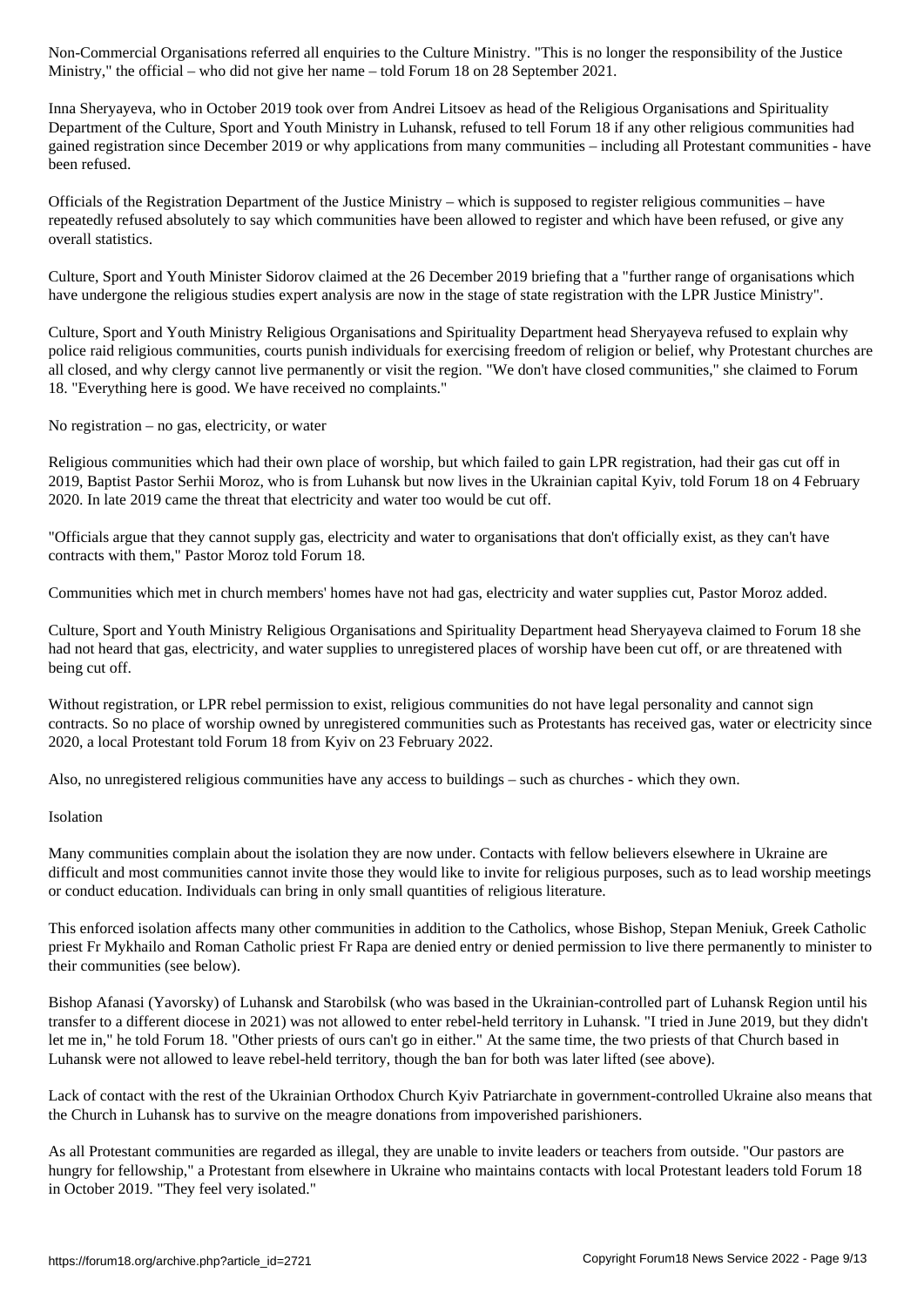Ministry," the official – who did not give her name – told Forum 18 on 28 September 2021.

Inna Sheryayeva, who in October 2019 took over from Andrei Litsoev as head of the Religious Organisations and Spirituality Department of the Culture, Sport and Youth Ministry in Luhansk, refused to tell Forum 18 if any other religious communities had gained registration since December 2019 or why applications from many communities – including all Protestant communities - have been refused.

Officials of the Registration Department of the Justice Ministry – which is supposed to register religious communities – have repeatedly refused absolutely to say which communities have been allowed to register and which have been refused, or give any overall statistics.

Culture, Sport and Youth Minister Sidorov claimed at the 26 December 2019 briefing that a "further range of organisations which have undergone the religious studies expert analysis are now in the stage of state registration with the LPR Justice Ministry".

Culture, Sport and Youth Ministry Religious Organisations and Spirituality Department head Sheryayeva refused to explain why police raid religious communities, courts punish individuals for exercising freedom of religion or belief, why Protestant churches are all closed, and why clergy cannot live permanently or visit the region. "We don't have closed communities," she claimed to Forum 18. "Everything here is good. We have received no complaints."

No registration – no gas, electricity, or water

Religious communities which had their own place of worship, but which failed to gain LPR registration, had their gas cut off in 2019, Baptist Pastor Serhii Moroz, who is from Luhansk but now lives in the Ukrainian capital Kyiv, told Forum 18 on 4 February 2020. In late 2019 came the threat that electricity and water too would be cut off.

"Officials argue that they cannot supply gas, electricity and water to organisations that don't officially exist, as they can't have contracts with them," Pastor Moroz told Forum 18.

Communities which met in church members' homes have not had gas, electricity and water supplies cut, Pastor Moroz added.

Culture, Sport and Youth Ministry Religious Organisations and Spirituality Department head Sheryayeva claimed to Forum 18 she had not heard that gas, electricity, and water supplies to unregistered places of worship have been cut off, or are threatened with being cut off.

Without registration, or LPR rebel permission to exist, religious communities do not have legal personality and cannot sign contracts. So no place of worship owned by unregistered communities such as Protestants has received gas, water or electricity since 2020, a local Protestant told Forum 18 from Kyiv on 23 February 2022.

Also, no unregistered religious communities have any access to buildings – such as churches - which they own.

### Isolation

Many communities complain about the isolation they are now under. Contacts with fellow believers elsewhere in Ukraine are difficult and most communities cannot invite those they would like to invite for religious purposes, such as to lead worship meetings or conduct education. Individuals can bring in only small quantities of religious literature.

This enforced isolation affects many other communities in addition to the Catholics, whose Bishop, Stepan Meniuk, Greek Catholic priest Fr Mykhailo and Roman Catholic priest Fr Rapa are denied entry or denied permission to live there permanently to minister to their communities (see below).

Bishop Afanasi (Yavorsky) of Luhansk and Starobilsk (who was based in the Ukrainian-controlled part of Luhansk Region until his transfer to a different diocese in 2021) was not allowed to enter rebel-held territory in Luhansk. "I tried in June 2019, but they didn't let me in," he told Forum 18. "Other priests of ours can't go in either." At the same time, the two priests of that Church based in Luhansk were not allowed to leave rebel-held territory, though the ban for both was later lifted (see above).

Lack of contact with the rest of the Ukrainian Orthodox Church Kyiv Patriarchate in government-controlled Ukraine also means that the Church in Luhansk has to survive on the meagre donations from impoverished parishioners.

As all Protestant communities are regarded as illegal, they are unable to invite leaders or teachers from outside. "Our pastors are hungry for fellowship," a Protestant from elsewhere in Ukraine who maintains contacts with local Protestant leaders told Forum 18 in October 2019. "They feel very isolated."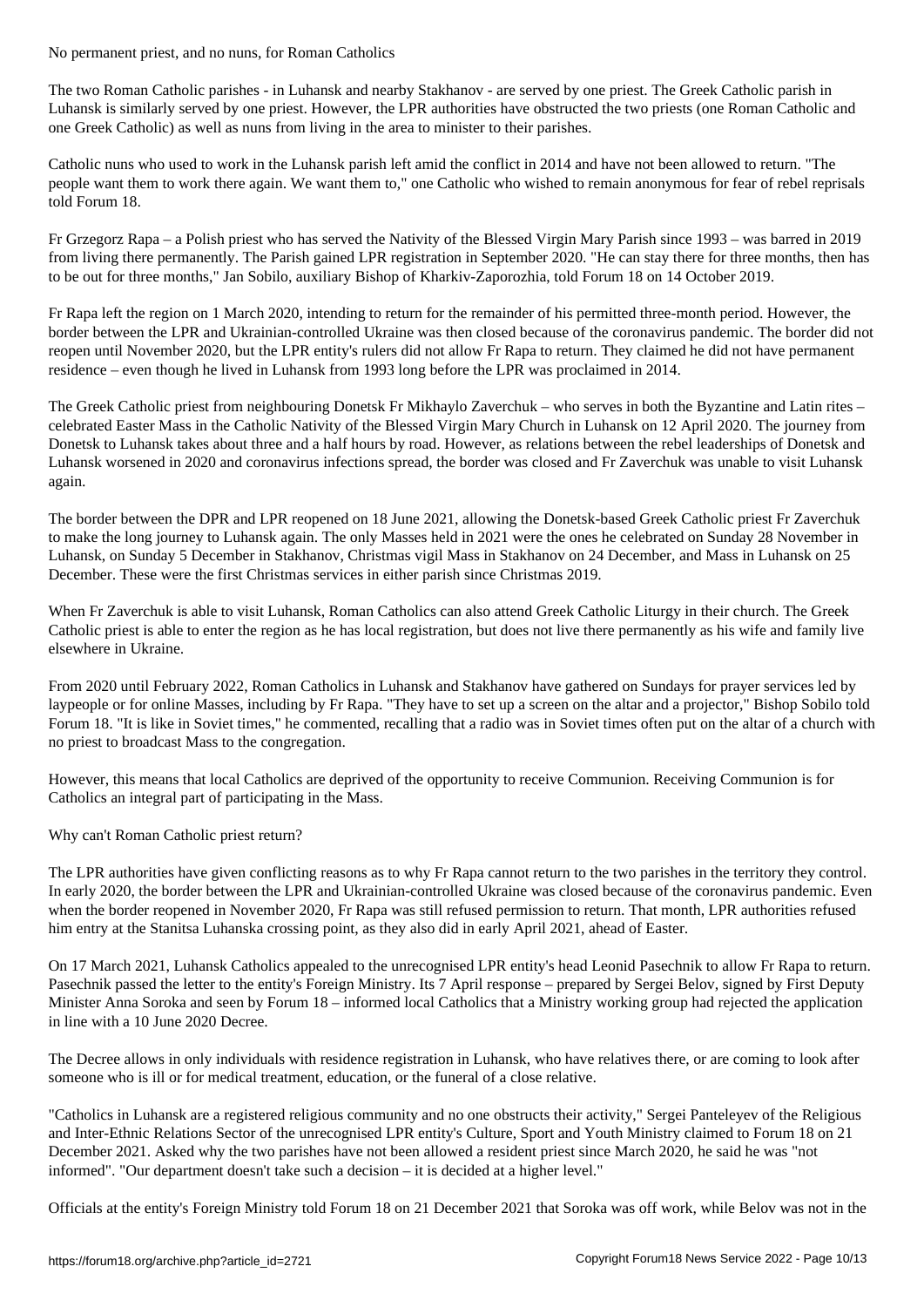The two Roman Catholic parishes - in Luhansk and nearby Stakhanov - are served by one priest. The Greek Catholic parish in Luhansk is similarly served by one priest. However, the LPR authorities have obstructed the two priests (one Roman Catholic and one Greek Catholic) as well as nuns from living in the area to minister to their parishes.

Catholic nuns who used to work in the Luhansk parish left amid the conflict in 2014 and have not been allowed to return. "The people want them to work there again. We want them to," one Catholic who wished to remain anonymous for fear of rebel reprisals told Forum 18.

Fr Grzegorz Rapa – a Polish priest who has served the Nativity of the Blessed Virgin Mary Parish since 1993 – was barred in 2019 from living there permanently. The Parish gained LPR registration in September 2020. "He can stay there for three months, then has to be out for three months," Jan Sobilo, auxiliary Bishop of Kharkiv-Zaporozhia, told Forum 18 on 14 October 2019.

Fr Rapa left the region on 1 March 2020, intending to return for the remainder of his permitted three-month period. However, the border between the LPR and Ukrainian-controlled Ukraine was then closed because of the coronavirus pandemic. The border did not reopen until November 2020, but the LPR entity's rulers did not allow Fr Rapa to return. They claimed he did not have permanent residence – even though he lived in Luhansk from 1993 long before the LPR was proclaimed in 2014.

The Greek Catholic priest from neighbouring Donetsk Fr Mikhaylo Zaverchuk – who serves in both the Byzantine and Latin rites – celebrated Easter Mass in the Catholic Nativity of the Blessed Virgin Mary Church in Luhansk on 12 April 2020. The journey from Donetsk to Luhansk takes about three and a half hours by road. However, as relations between the rebel leaderships of Donetsk and Luhansk worsened in 2020 and coronavirus infections spread, the border was closed and Fr Zaverchuk was unable to visit Luhansk again.

The border between the DPR and LPR reopened on 18 June 2021, allowing the Donetsk-based Greek Catholic priest Fr Zaverchuk to make the long journey to Luhansk again. The only Masses held in 2021 were the ones he celebrated on Sunday 28 November in Luhansk, on Sunday 5 December in Stakhanov, Christmas vigil Mass in Stakhanov on 24 December, and Mass in Luhansk on 25 December. These were the first Christmas services in either parish since Christmas 2019.

When Fr Zaverchuk is able to visit Luhansk, Roman Catholics can also attend Greek Catholic Liturgy in their church. The Greek Catholic priest is able to enter the region as he has local registration, but does not live there permanently as his wife and family live elsewhere in Ukraine.

From 2020 until February 2022, Roman Catholics in Luhansk and Stakhanov have gathered on Sundays for prayer services led by laypeople or for online Masses, including by Fr Rapa. "They have to set up a screen on the altar and a projector," Bishop Sobilo told Forum 18. "It is like in Soviet times," he commented, recalling that a radio was in Soviet times often put on the altar of a church with no priest to broadcast Mass to the congregation.

However, this means that local Catholics are deprived of the opportunity to receive Communion. Receiving Communion is for Catholics an integral part of participating in the Mass.

Why can't Roman Catholic priest return?

The LPR authorities have given conflicting reasons as to why Fr Rapa cannot return to the two parishes in the territory they control. In early 2020, the border between the LPR and Ukrainian-controlled Ukraine was closed because of the coronavirus pandemic. Even when the border reopened in November 2020, Fr Rapa was still refused permission to return. That month, LPR authorities refused him entry at the Stanitsa Luhanska crossing point, as they also did in early April 2021, ahead of Easter.

On 17 March 2021, Luhansk Catholics appealed to the unrecognised LPR entity's head Leonid Pasechnik to allow Fr Rapa to return. Pasechnik passed the letter to the entity's Foreign Ministry. Its 7 April response – prepared by Sergei Belov, signed by First Deputy Minister Anna Soroka and seen by Forum 18 – informed local Catholics that a Ministry working group had rejected the application in line with a 10 June 2020 Decree.

The Decree allows in only individuals with residence registration in Luhansk, who have relatives there, or are coming to look after someone who is ill or for medical treatment, education, or the funeral of a close relative.

"Catholics in Luhansk are a registered religious community and no one obstructs their activity," Sergei Panteleyev of the Religious and Inter-Ethnic Relations Sector of the unrecognised LPR entity's Culture, Sport and Youth Ministry claimed to Forum 18 on 21 December 2021. Asked why the two parishes have not been allowed a resident priest since March 2020, he said he was "not informed". "Our department doesn't take such a decision – it is decided at a higher level."

Officials at the entity's Foreign Ministry told Forum 18 on 21 December 2021 that Soroka was off work, while Belov was not in the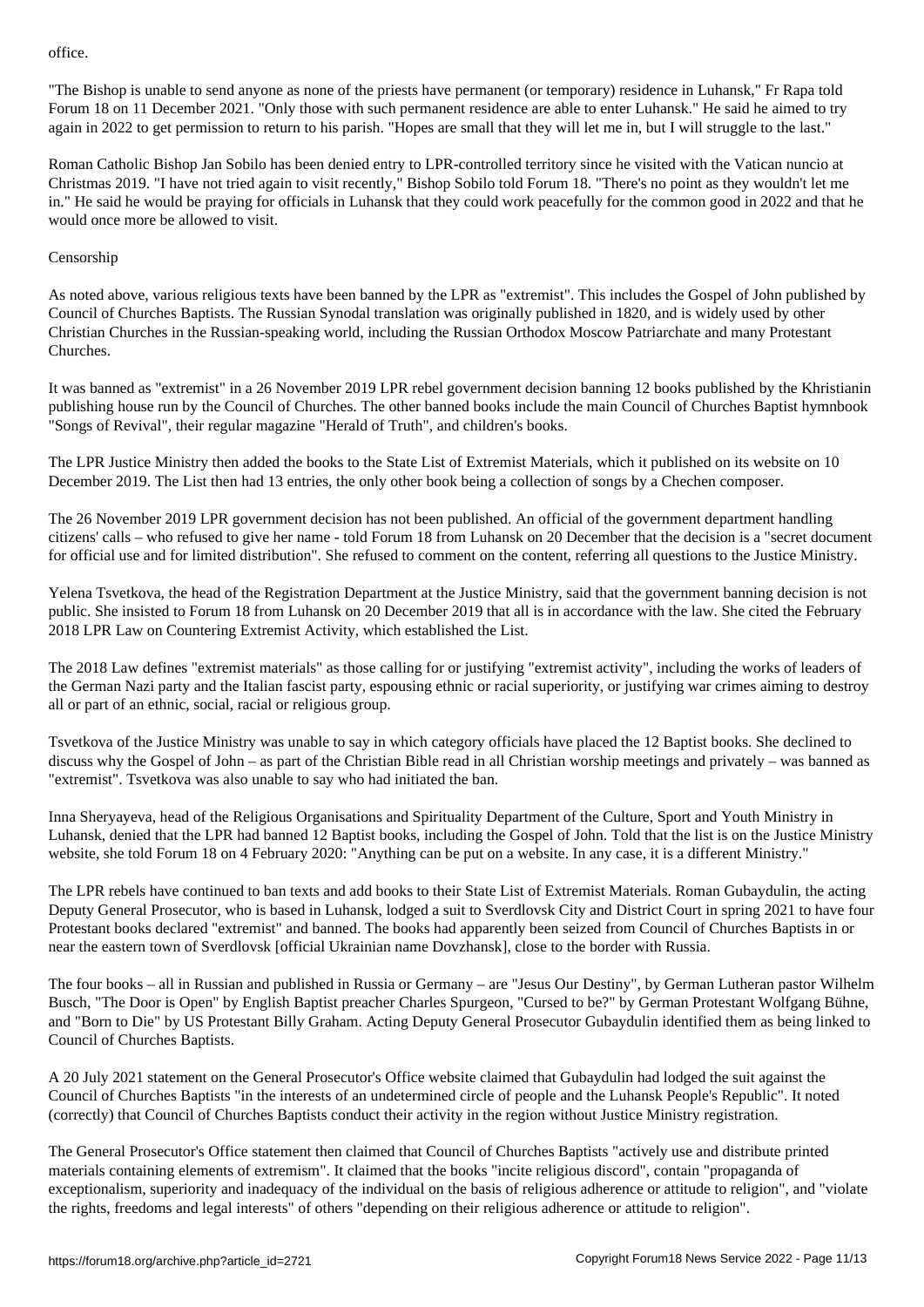"The Bishop is unable to send anyone as none of the priests have permanent (or temporary) residence in Luhansk," Fr Rapa told Forum 18 on 11 December 2021. "Only those with such permanent residence are able to enter Luhansk." He said he aimed to try again in 2022 to get permission to return to his parish. "Hopes are small that they will let me in, but I will struggle to the last."

Roman Catholic Bishop Jan Sobilo has been denied entry to LPR-controlled territory since he visited with the Vatican nuncio at Christmas 2019. "I have not tried again to visit recently," Bishop Sobilo told Forum 18. "There's no point as they wouldn't let me in." He said he would be praying for officials in Luhansk that they could work peacefully for the common good in 2022 and that he would once more be allowed to visit.

## Censorship

As noted above, various religious texts have been banned by the LPR as "extremist". This includes the Gospel of John published by Council of Churches Baptists. The Russian Synodal translation was originally published in 1820, and is widely used by other Christian Churches in the Russian-speaking world, including the Russian Orthodox Moscow Patriarchate and many Protestant Churches.

It was banned as "extremist" in a 26 November 2019 LPR rebel government decision banning 12 books published by the Khristianin publishing house run by the Council of Churches. The other banned books include the main Council of Churches Baptist hymnbook "Songs of Revival", their regular magazine "Herald of Truth", and children's books.

The LPR Justice Ministry then added the books to the State List of Extremist Materials, which it published on its website on 10 December 2019. The List then had 13 entries, the only other book being a collection of songs by a Chechen composer.

The 26 November 2019 LPR government decision has not been published. An official of the government department handling citizens' calls – who refused to give her name - told Forum 18 from Luhansk on 20 December that the decision is a "secret document for official use and for limited distribution". She refused to comment on the content, referring all questions to the Justice Ministry.

Yelena Tsvetkova, the head of the Registration Department at the Justice Ministry, said that the government banning decision is not public. She insisted to Forum 18 from Luhansk on 20 December 2019 that all is in accordance with the law. She cited the February 2018 LPR Law on Countering Extremist Activity, which established the List.

The 2018 Law defines "extremist materials" as those calling for or justifying "extremist activity", including the works of leaders of the German Nazi party and the Italian fascist party, espousing ethnic or racial superiority, or justifying war crimes aiming to destroy all or part of an ethnic, social, racial or religious group.

Tsvetkova of the Justice Ministry was unable to say in which category officials have placed the 12 Baptist books. She declined to discuss why the Gospel of John – as part of the Christian Bible read in all Christian worship meetings and privately – was banned as "extremist". Tsvetkova was also unable to say who had initiated the ban.

Inna Sheryayeva, head of the Religious Organisations and Spirituality Department of the Culture, Sport and Youth Ministry in Luhansk, denied that the LPR had banned 12 Baptist books, including the Gospel of John. Told that the list is on the Justice Ministry website, she told Forum 18 on 4 February 2020: "Anything can be put on a website. In any case, it is a different Ministry."

The LPR rebels have continued to ban texts and add books to their State List of Extremist Materials. Roman Gubaydulin, the acting Deputy General Prosecutor, who is based in Luhansk, lodged a suit to Sverdlovsk City and District Court in spring 2021 to have four Protestant books declared "extremist" and banned. The books had apparently been seized from Council of Churches Baptists in or near the eastern town of Sverdlovsk [official Ukrainian name Dovzhansk], close to the border with Russia.

The four books – all in Russian and published in Russia or Germany – are "Jesus Our Destiny", by German Lutheran pastor Wilhelm Busch, "The Door is Open" by English Baptist preacher Charles Spurgeon, "Cursed to be?" by German Protestant Wolfgang Bühne, and "Born to Die" by US Protestant Billy Graham. Acting Deputy General Prosecutor Gubaydulin identified them as being linked to Council of Churches Baptists.

A 20 July 2021 statement on the General Prosecutor's Office website claimed that Gubaydulin had lodged the suit against the Council of Churches Baptists "in the interests of an undetermined circle of people and the Luhansk People's Republic". It noted (correctly) that Council of Churches Baptists conduct their activity in the region without Justice Ministry registration.

The General Prosecutor's Office statement then claimed that Council of Churches Baptists "actively use and distribute printed materials containing elements of extremism". It claimed that the books "incite religious discord", contain "propaganda of exceptionalism, superiority and inadequacy of the individual on the basis of religious adherence or attitude to religion", and "violate the rights, freedoms and legal interests" of others "depending on their religious adherence or attitude to religion".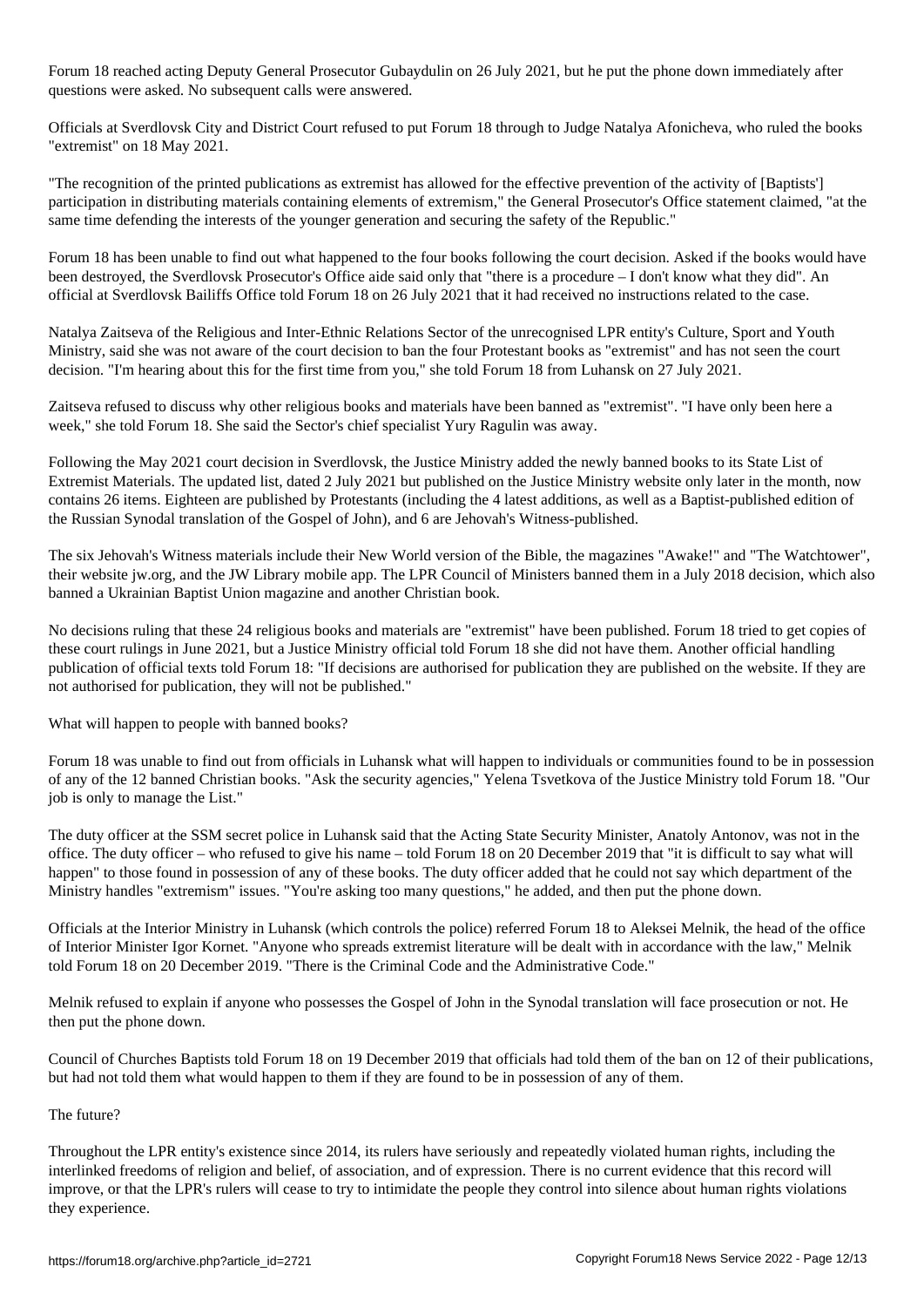Forum 18 reached acting Deputy General Prosecutor Gubaydulin on 26 July 2021, but he put the phone down immediately after questions were asked. No subsequent calls were answered.

Officials at Sverdlovsk City and District Court refused to put Forum 18 through to Judge Natalya Afonicheva, who ruled the books "extremist" on 18 May 2021.

"The recognition of the printed publications as extremist has allowed for the effective prevention of the activity of [Baptists'] participation in distributing materials containing elements of extremism," the General Prosecutor's Office statement claimed, "at the same time defending the interests of the younger generation and securing the safety of the Republic."

Forum 18 has been unable to find out what happened to the four books following the court decision. Asked if the books would have been destroyed, the Sverdlovsk Prosecutor's Office aide said only that "there is a procedure – I don't know what they did". An official at Sverdlovsk Bailiffs Office told Forum 18 on 26 July 2021 that it had received no instructions related to the case.

Natalya Zaitseva of the Religious and Inter-Ethnic Relations Sector of the unrecognised LPR entity's Culture, Sport and Youth Ministry, said she was not aware of the court decision to ban the four Protestant books as "extremist" and has not seen the court decision. "I'm hearing about this for the first time from you," she told Forum 18 from Luhansk on 27 July 2021.

Zaitseva refused to discuss why other religious books and materials have been banned as "extremist". "I have only been here a week," she told Forum 18. She said the Sector's chief specialist Yury Ragulin was away.

Following the May 2021 court decision in Sverdlovsk, the Justice Ministry added the newly banned books to its State List of Extremist Materials. The updated list, dated 2 July 2021 but published on the Justice Ministry website only later in the month, now contains 26 items. Eighteen are published by Protestants (including the 4 latest additions, as well as a Baptist-published edition of the Russian Synodal translation of the Gospel of John), and 6 are Jehovah's Witness-published.

The six Jehovah's Witness materials include their New World version of the Bible, the magazines "Awake!" and "The Watchtower", their website jw.org, and the JW Library mobile app. The LPR Council of Ministers banned them in a July 2018 decision, which also banned a Ukrainian Baptist Union magazine and another Christian book.

No decisions ruling that these 24 religious books and materials are "extremist" have been published. Forum 18 tried to get copies of these court rulings in June 2021, but a Justice Ministry official told Forum 18 she did not have them. Another official handling publication of official texts told Forum 18: "If decisions are authorised for publication they are published on the website. If they are not authorised for publication, they will not be published."

What will happen to people with banned books?

Forum 18 was unable to find out from officials in Luhansk what will happen to individuals or communities found to be in possession of any of the 12 banned Christian books. "Ask the security agencies," Yelena Tsvetkova of the Justice Ministry told Forum 18. "Our job is only to manage the List."

The duty officer at the SSM secret police in Luhansk said that the Acting State Security Minister, Anatoly Antonov, was not in the office. The duty officer – who refused to give his name – told Forum 18 on 20 December 2019 that "it is difficult to say what will happen" to those found in possession of any of these books. The duty officer added that he could not say which department of the Ministry handles "extremism" issues. "You're asking too many questions," he added, and then put the phone down.

Officials at the Interior Ministry in Luhansk (which controls the police) referred Forum 18 to Aleksei Melnik, the head of the office of Interior Minister Igor Kornet. "Anyone who spreads extremist literature will be dealt with in accordance with the law," Melnik told Forum 18 on 20 December 2019. "There is the Criminal Code and the Administrative Code."

Melnik refused to explain if anyone who possesses the Gospel of John in the Synodal translation will face prosecution or not. He then put the phone down.

Council of Churches Baptists told Forum 18 on 19 December 2019 that officials had told them of the ban on 12 of their publications, but had not told them what would happen to them if they are found to be in possession of any of them.

## The future?

Throughout the LPR entity's existence since 2014, its rulers have seriously and repeatedly violated human rights, including the interlinked freedoms of religion and belief, of association, and of expression. There is no current evidence that this record will improve, or that the LPR's rulers will cease to try to intimidate the people they control into silence about human rights violations they experience.